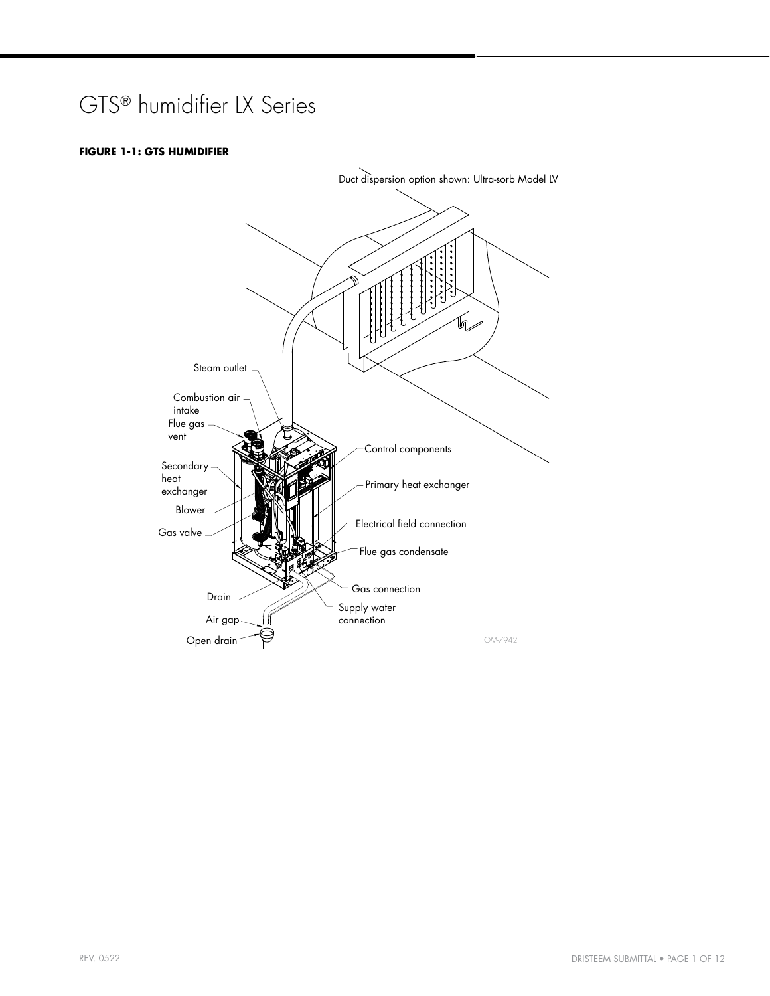## GTS® humidifier LX Series

#### **FIGURE 1-1: GTS HUMIDIFIER**

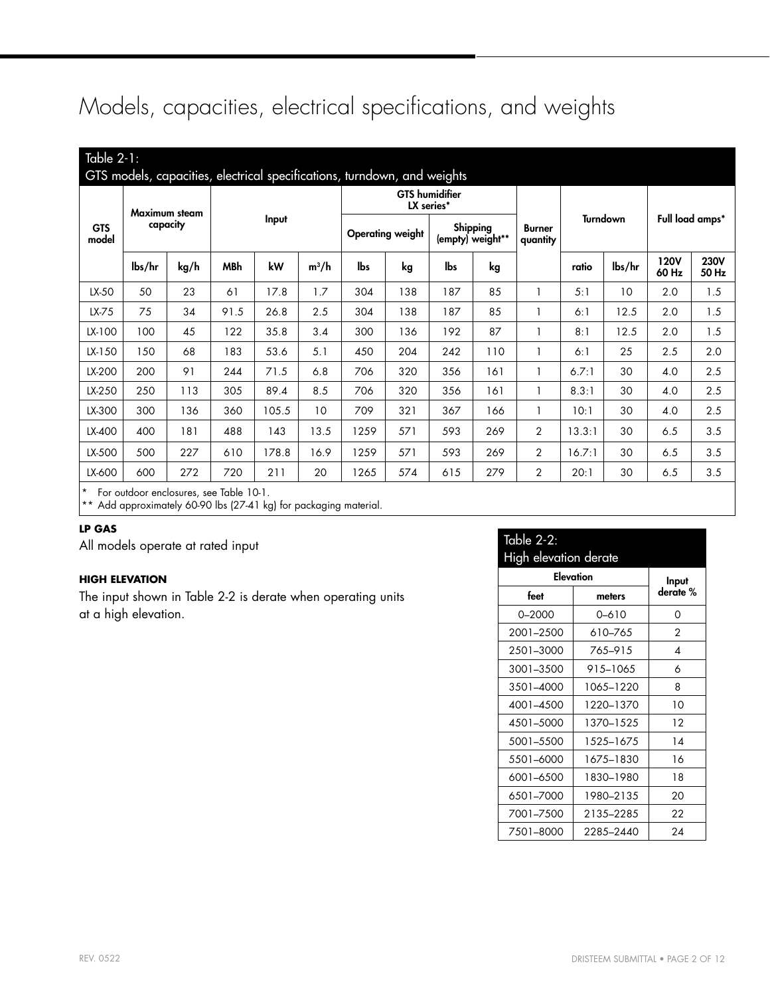## Models, capacities, electrical specifications, and weights

| Table $2-1$ :       |                           |                                         |            | GTS models, capacities, electrical specifications, turndown, and weights |                                     |      |                              |     |                           |                |        |                 |                      |                      |
|---------------------|---------------------------|-----------------------------------------|------------|--------------------------------------------------------------------------|-------------------------------------|------|------------------------------|-----|---------------------------|----------------|--------|-----------------|----------------------|----------------------|
| <b>GTS</b><br>model | Maximum steam<br>capacity |                                         | Input      |                                                                          | <b>GTS</b> humidifier<br>LX series* |      |                              |     |                           |                |        |                 |                      |                      |
|                     |                           |                                         |            |                                                                          | <b>Operating weight</b>             |      | Shipping<br>(empty) weight** |     | <b>Burner</b><br>quantity | Turndown       |        | Full load amps* |                      |                      |
|                     | lbs/hr                    | kg/h                                    | <b>MBh</b> | kW                                                                       | $m^3/h$                             | lbs  | kg                           | lbs | kg                        |                | ratio  | lbs/hr          | <b>120V</b><br>60 Hz | <b>230V</b><br>50 Hz |
| LX-50               | 50                        | 23                                      | 61         | 17.8                                                                     | 1.7                                 | 304  | 138                          | 187 | 85                        |                | 5:1    | 10              | 2.0                  | 1.5                  |
| LX-75               | 75                        | 34                                      | 91.5       | 26.8                                                                     | 2.5                                 | 304  | 138                          | 187 | 85                        |                | 6:1    | 12.5            | 2.0                  | 1.5                  |
| LX-100              | 100                       | 45                                      | 122        | 35.8                                                                     | 3.4                                 | 300  | 136                          | 192 | 87                        | 1              | 8:1    | 12.5            | 2.0                  | 1.5                  |
| LX-150              | 150                       | 68                                      | 183        | 53.6                                                                     | 5.1                                 | 450  | 204                          | 242 | 110                       | 1              | 6:1    | 25              | 2.5                  | 2.0                  |
| LX-200              | 200                       | 91                                      | 244        | 71.5                                                                     | 6.8                                 | 706  | 320                          | 356 | 161                       | 1              | 6.7:1  | 30              | 4.0                  | 2.5                  |
| LX-250              | 250                       | 113                                     | 305        | 89.4                                                                     | 8.5                                 | 706  | 320                          | 356 | 161                       | 1              | 8.3:1  | 30              | 4.0                  | 2.5                  |
| LX-300              | 300                       | 136                                     | 360        | 105.5                                                                    | 10                                  | 709  | 321                          | 367 | 166                       | 1              | 10:1   | 30              | 4.0                  | 2.5                  |
| LX-400              | 400                       | 181                                     | 488        | 143                                                                      | 13.5                                | 1259 | 571                          | 593 | 269                       | $\overline{2}$ | 13.3:1 | 30              | 6.5                  | 3.5                  |
| LX-500              | 500                       | 227                                     | 610        | 178.8                                                                    | 16.9                                | 1259 | 571                          | 593 | 269                       | $\overline{2}$ | 16.7:1 | 30              | 6.5                  | 3.5                  |
| LX-600              | 600                       | 272                                     | 720        | 211                                                                      | 20                                  | 1265 | 574                          | 615 | 279                       | 2              | 20:1   | 30              | 6.5                  | 3.5                  |
| $\star$             |                           | For outdoor enclosures, see Table 10-1. |            |                                                                          |                                     |      |                              |     |                           |                |        |                 |                      |                      |

\*\* Add approximately 60-90 lbs (27-41 kg) for packaging material.

### **LP GAS**

All models operate at rated input

### **HIGH ELEVATION**

The input shown in Table [2](#page-1-0)-2 is derate when operating units at a high elevation.

<span id="page-1-0"></span>

| <b>Table 2-2:</b>     |               |          |  |  |  |  |  |  |  |
|-----------------------|---------------|----------|--|--|--|--|--|--|--|
| High elevation derate |               |          |  |  |  |  |  |  |  |
| Elevation             | Input         |          |  |  |  |  |  |  |  |
| feet                  | meters        | derate % |  |  |  |  |  |  |  |
| $0 - 2000$            | 0-610         | 0        |  |  |  |  |  |  |  |
| 2001-2500             | 610–765       | 2        |  |  |  |  |  |  |  |
| 2501-3000             | 765-915       | 4        |  |  |  |  |  |  |  |
| 3001-3500             | 915-1065      | 6        |  |  |  |  |  |  |  |
| 3501-4000             | 1065–1220     | 8        |  |  |  |  |  |  |  |
| 4001-4500             | 1220-1370     | 10       |  |  |  |  |  |  |  |
| 4501-5000             | 1370-1525     | 12       |  |  |  |  |  |  |  |
| 5001-5500             | 1.52.5–1.67.5 | 14       |  |  |  |  |  |  |  |
| 5501-6000             | 1675-1830     | 16       |  |  |  |  |  |  |  |
| 6001-6500             | 1830–1980     | 18       |  |  |  |  |  |  |  |
| 6501-7000             | 1980-2135     | 20       |  |  |  |  |  |  |  |
| 7001-7500             | 2135-2285     | 22       |  |  |  |  |  |  |  |
| 7501-8000             | 2285–2440     | 24       |  |  |  |  |  |  |  |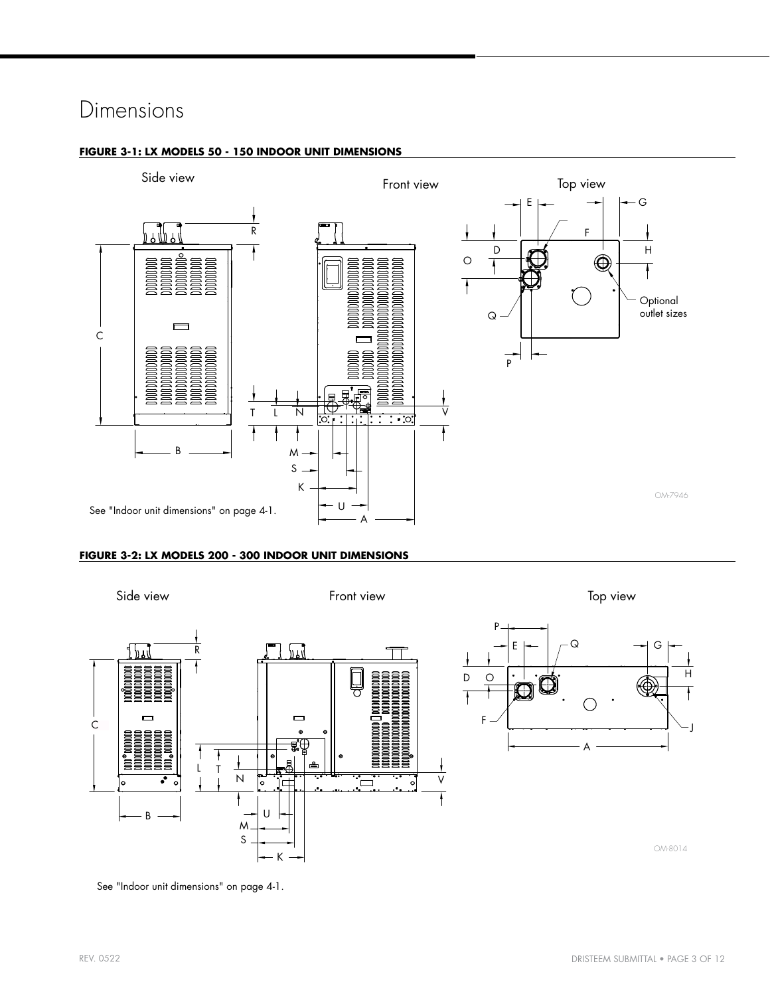## Dimensions

#### **FIGURE 3-1: LX MODELS 50 - 150 INDOOR UNIT DIMENSIONS**



#### **FIGURE 3-2: LX MODELS 200 - 300 INDOOR UNIT DIMENSIONS**



See ["Indoor unit dimensions" on page 4-](#page-3-0)1.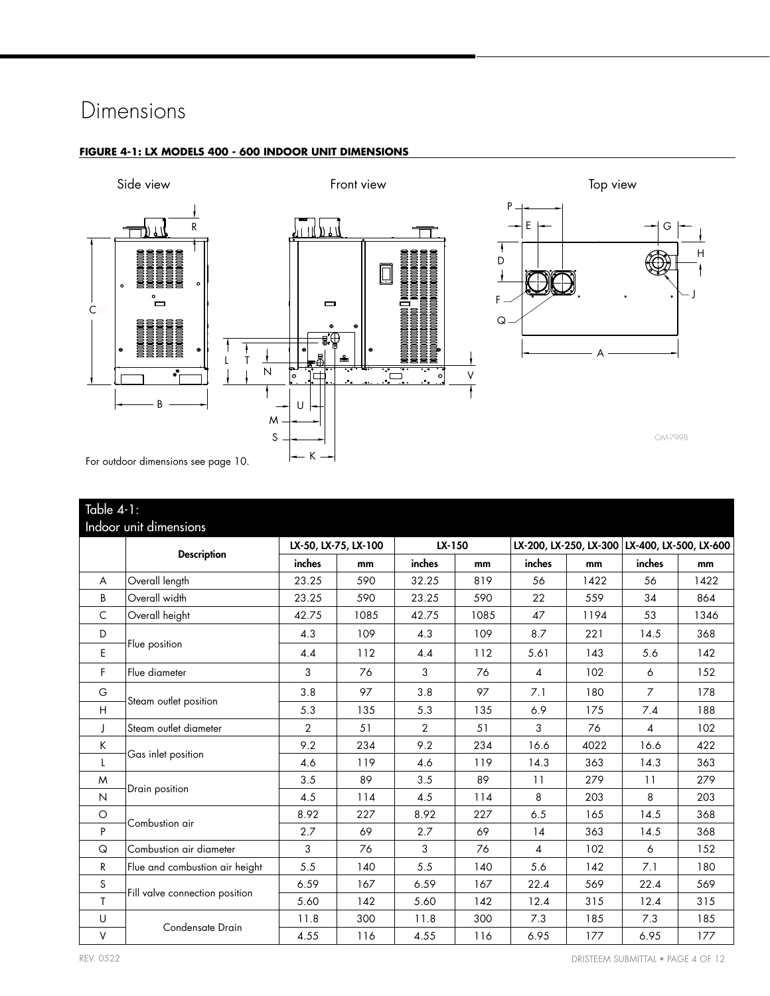## Dimensions



#### **FIGURE 4-1: LX MODELS 400 - 600 INDOOR UNIT DIMENSIONS**

<span id="page-3-0"></span>

|              | Table $4-1$ :                  |                |                      |                |      |                |      |                                               |      |  |  |
|--------------|--------------------------------|----------------|----------------------|----------------|------|----------------|------|-----------------------------------------------|------|--|--|
|              | Indoor unit dimensions         |                |                      |                |      |                |      |                                               |      |  |  |
|              | <b>Description</b>             |                | LX-50, LX-75, LX-100 | LX-150         |      |                |      | LX-200, LX-250, LX-300 LX-400, LX-500, LX-600 |      |  |  |
|              |                                | inches         | mm                   | inches         | mm   | inches         | mm   | inches                                        | mm   |  |  |
| A            | Overall length                 | 23.25          | 590                  | 32.25          | 819  | 56             | 1422 | 56                                            | 1422 |  |  |
| B            | Overall width                  | 23.25          | 590                  | 23.25          | 590  | 22             | 559  | 34                                            | 864  |  |  |
| C            | Overall height                 | 42.75          | 1085                 | 42.75          | 1085 | 47             | 1194 | 53                                            | 1346 |  |  |
| D            |                                | 4.3            | 109                  | 4.3            | 109  | 8.7            | 221  | 14.5                                          | 368  |  |  |
| E            | Flue position                  | 4.4            | 112                  | 4.4            | 112  | 5.61           | 143  | 5.6                                           | 142  |  |  |
| F            | Flue diameter                  | 3              | 76                   | 3              | 76   | $\overline{4}$ | 102  | 6                                             | 152  |  |  |
| G            |                                | 3.8            | 97                   | 3.8            | 97   | 7.1            | 180  | $\overline{7}$                                | 178  |  |  |
| H            | Steam outlet position          | 5.3            | 135                  | 5.3            | 135  | 6.9            | 175  | 7.4                                           | 188  |  |  |
| J            | Steam outlet diameter          | $\overline{2}$ | 51                   | $\overline{2}$ | 51   | 3              | 76   | $\overline{4}$                                | 102  |  |  |
| К            |                                | 9.2            | 234                  | 9.2            | 234  | 16.6           | 4022 | 16.6                                          | 422  |  |  |
| L            | Gas inlet position             | 4.6            | 119                  | 4.6            | 119  | 14.3           | 363  | 14.3                                          | 363  |  |  |
| M            |                                | 3.5            | 89                   | 3.5            | 89   | 11             | 279  | 11                                            | 279  |  |  |
| N            | Drain position                 | 4.5            | 114                  | 4.5            | 114  | 8              | 203  | 8                                             | 203  |  |  |
| $\circ$      |                                | 8.92           | 227                  | 8.92           | 227  | 6.5            | 165  | 14.5                                          | 368  |  |  |
| P            | Combustion air                 | 2.7            | 69                   | 2.7            | 69   | 14             | 363  | 14.5                                          | 368  |  |  |
| Q            | Combustion air diameter        | 3              | 76                   | 3              | 76   | 4              | 102  | 6                                             | 152  |  |  |
| R            | Flue and combustion air height | 5.5            | 140                  | 5.5            | 140  | 5.6            | 142  | 7.1                                           | 180  |  |  |
| S            |                                | 6.59           | 167                  | 6.59           | 167  | 22.4           | 569  | 22.4                                          | 569  |  |  |
| $\mathsf{T}$ | Fill valve connection position | 5.60           | 142                  | 5.60           | 142  | 12.4           | 315  | 12.4                                          | 315  |  |  |
| U            |                                | 11.8           | 300                  | 11.8           | 300  | 7.3            | 185  | 7.3                                           | 185  |  |  |
| $\vee$       | Condensate Drain               | 4.55           | 116                  | 4.55           | 116  | 6.95           | 177  | 6.95                                          | 177  |  |  |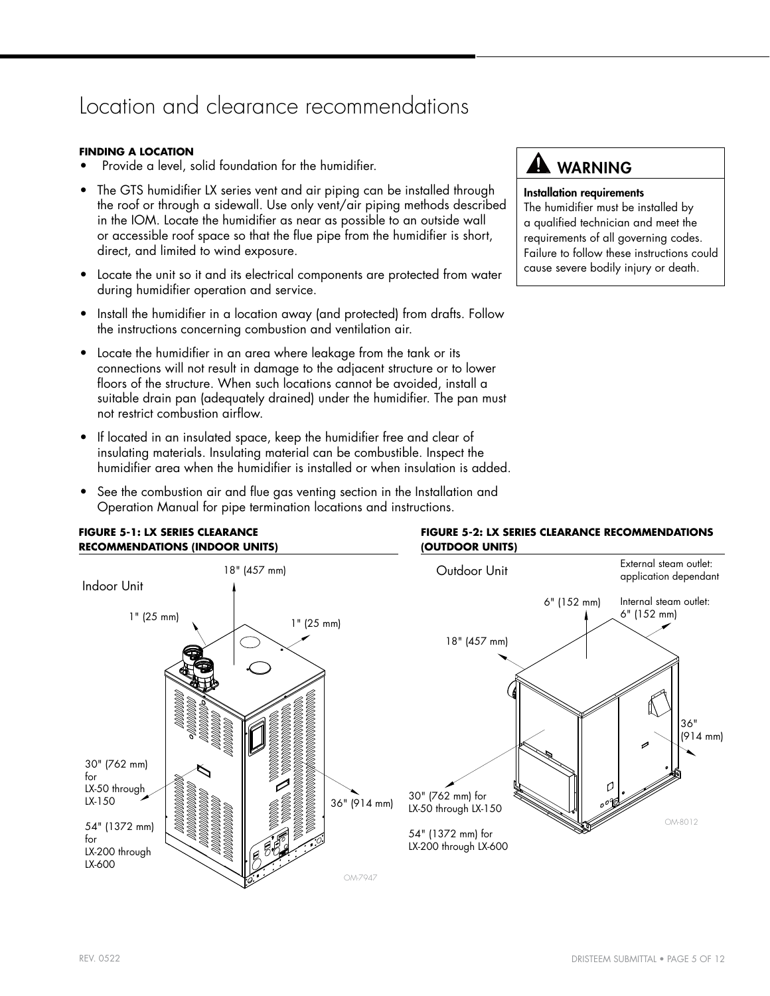## Location and clearance recommendations

#### **FINDING A LOCATION**

- Provide a level, solid foundation for the humidifier.
- The GTS humidifier LX series vent and air piping can be installed through the roof or through a sidewall. Use only vent/air piping methods described in the IOM. Locate the humidifier as near as possible to an outside wall or accessible roof space so that the flue pipe from the humidifier is short, direct, and limited to wind exposure.
- Locate the unit so it and its electrical components are protected from water during humidifier operation and service.
- Install the humidifier in a location away (and protected) from drafts. Follow the instructions concerning combustion and ventilation air.
- Locate the humidifier in an area where leakage from the tank or its connections will not result in damage to the adjacent structure or to lower floors of the structure. When such locations cannot be avoided, install a suitable drain pan (adequately drained) under the humidifier. The pan must not restrict combustion airflow.
- If located in an insulated space, keep the humidifier free and clear of insulating materials. Insulating material can be combustible. Inspect the humidifier area when the humidifier is installed or when insulation is added.
- See the combustion air and flue gas venting section in the Installation and Operation Manual for pipe termination locations and instructions.

## **AL WARNING**

#### Installation requirements

<span id="page-4-0"></span>The humidifier must be installed by a qualified technician and meet the requirements of all governing codes. Failure to follow these instructions could cause severe bodily injury or death.



## **FIGURE 5-1: LX SERIES CLEARANCE**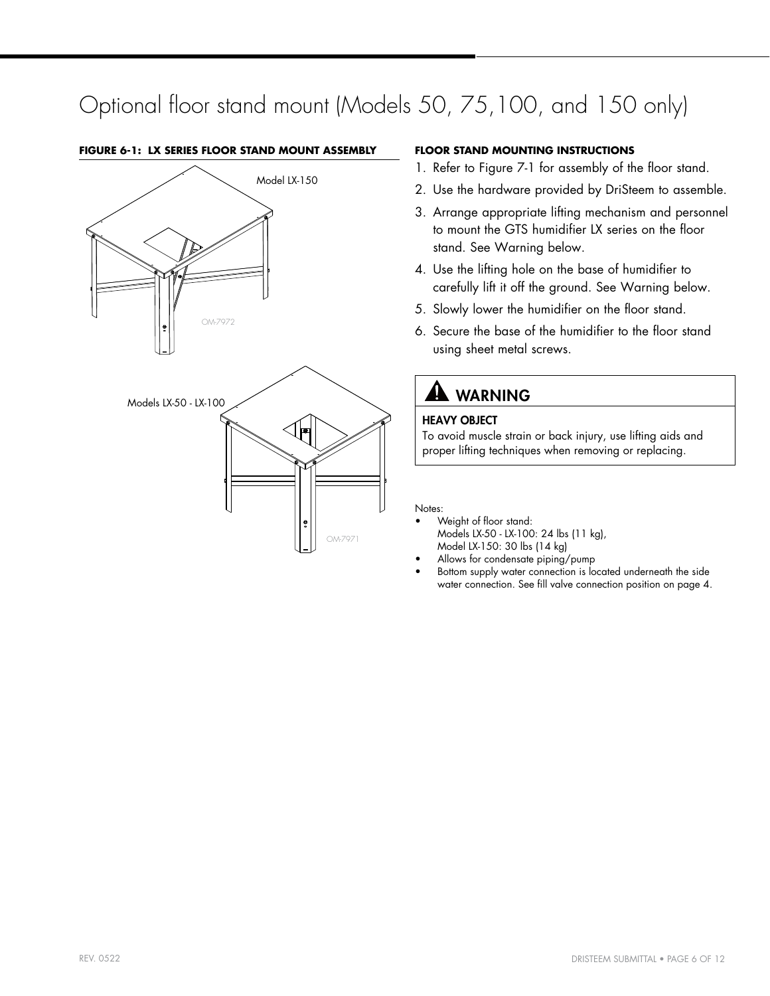## Optional floor stand mount (Models 50, 75,100, and 150 only)

# OM-7972 OM-7971 Model LX-150 Models LX-50 - LX-100

#### **FIGURE 6-1: LX SERIES FLOOR STAND MOUNT ASSEMBLY FLOOR STAND MOUNTING INSTRUCTIONS**

- 1. Refer to Figure [7](#page-6-0)-1 for assembly of the floor stand.
- 2. Use the hardware provided by DriSteem to assemble.
- 3. Arrange appropriate lifting mechanism and personnel to mount the GTS humidifier LX series on the floor stand. See Warning below.
- 4. Use the lifting hole on the base of humidifier to carefully lift it off the ground. See Warning below.
- 5. Slowly lower the humidifier on the floor stand.
- 6. Secure the base of the humidifier to the floor stand using sheet metal screws.

## **A** WARNING

## HEAVY OBJECT

To avoid muscle strain or back injury, use lifting aids and proper lifting techniques when removing or replacing.

#### Notes:

- Weight of floor stand: Models LX-50 - LX-100: 24 lbs (11 kg), Model LX-150: 30 lbs (14 kg)
- Allows for condensate piping/pump
- Bottom supply water connection is located underneath the side water connection. See fill valve connection position on page [4](#page-3-0).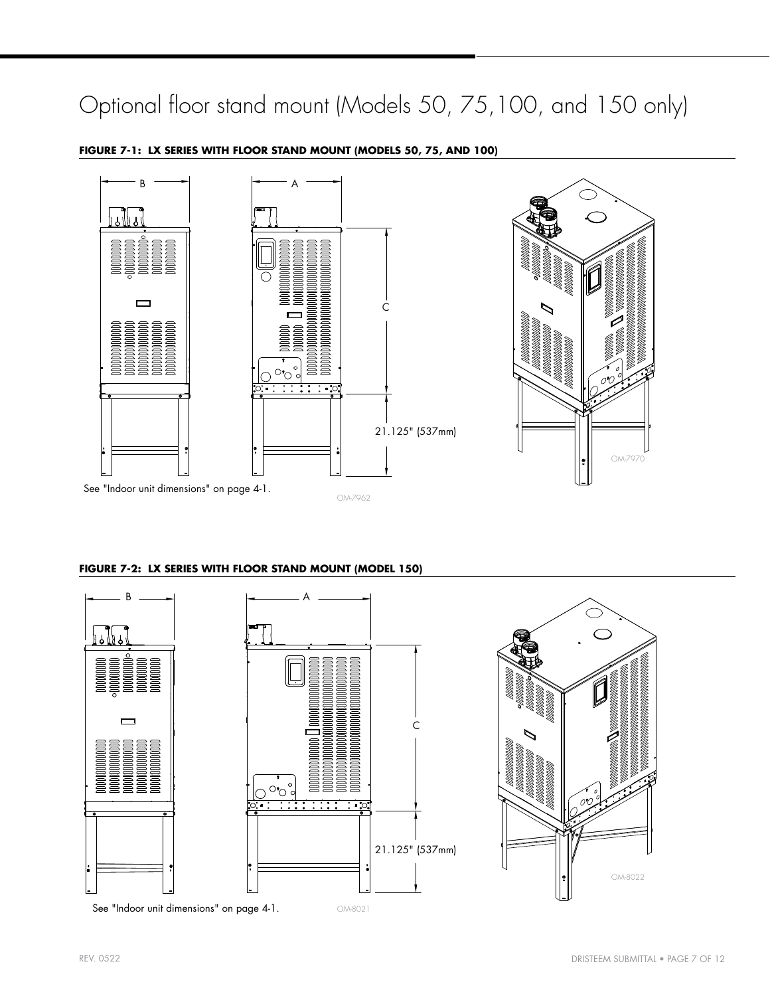## Optional floor stand mount (Models 50, 75,100, and 150 only)



#### **FIGURE 7-1: LX SERIES WITH FLOOR STAND MOUNT (MODELS 50, 75, AND 100)**

#### <span id="page-6-0"></span>**FIGURE 7-2: LX SERIES WITH FLOOR STAND MOUNT (MODEL 150)**

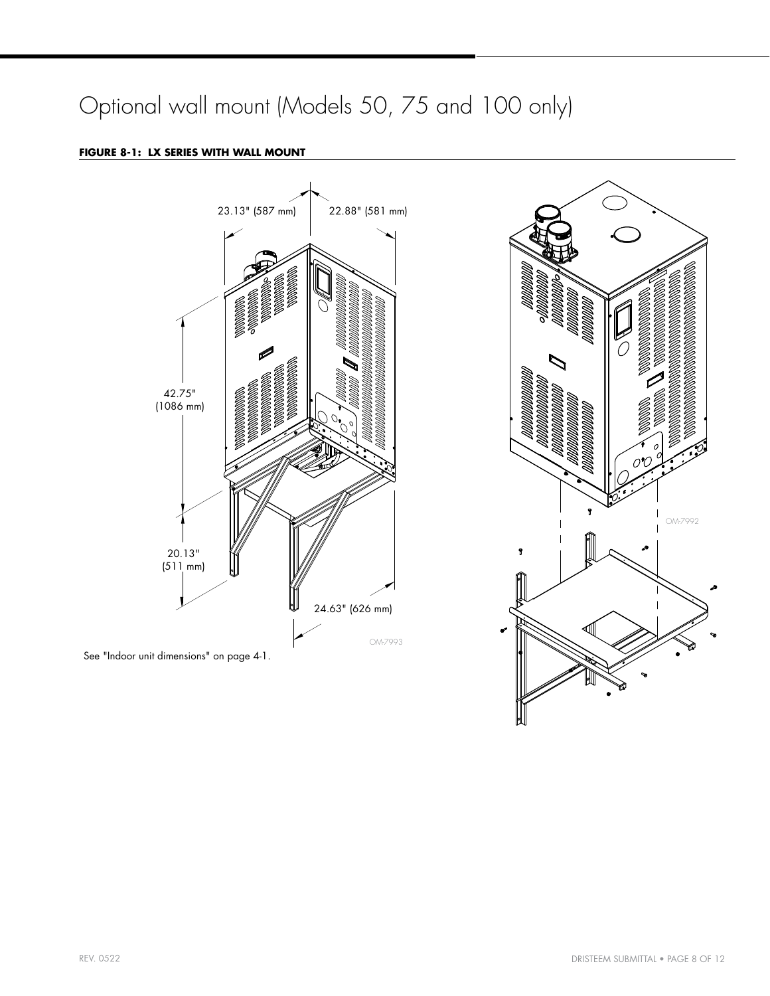## Optional wall mount (Models 50, 75 and 100 only)

## **FIGURE 8-1: LX SERIES WITH WALL MOUNT**



See ["Indoor unit dimensions"](#page-3-0) on page [4](#page-3-0)-1.

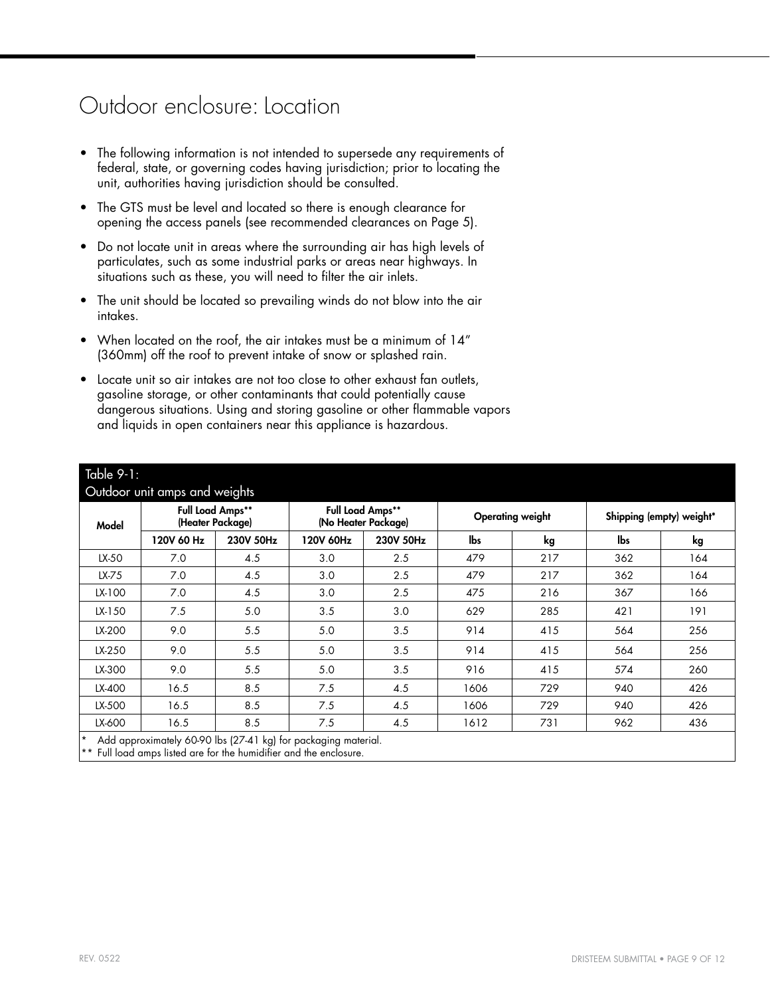## Outdoor enclosure: Location

- The following information is not intended to supersede any requirements of federal, state, or governing codes having jurisdiction; prior to locating the unit, authorities having jurisdiction should be consulted.
- The GTS must be level and located so there is enough clearance for opening the access panels (see recommended clearances on Page [5](#page-4-0)).
- Do not locate unit in areas where the surrounding air has high levels of particulates, such as some industrial parks or areas near highways. In situations such as these, you will need to filter the air inlets.
- The unit should be located so prevailing winds do not blow into the air intakes.
- When located on the roof, the air intakes must be a minimum of 14" (360mm) off the roof to prevent intake of snow or splashed rain.
- Locate unit so air intakes are not too close to other exhaust fan outlets, gasoline storage, or other contaminants that could potentially cause dangerous situations. Using and storing gasoline or other flammable vapors and liquids in open containers near this appliance is hazardous.

<span id="page-8-0"></span>

| Model  | <b>Full Load Amps**</b> | (Heater Package) |           | <b>Full Load Amps**</b><br>(No Heater Package) |      | <b>Operating weight</b> | Shipping (empty) weight* |     |  |
|--------|-------------------------|------------------|-----------|------------------------------------------------|------|-------------------------|--------------------------|-----|--|
|        | 120V 60 Hz              | 230V 50Hz        | 120V 60Hz | 230V 50Hz                                      | lbs  | kg                      | lbs                      | kg  |  |
| LX-50  | 7.0                     | 4.5              | 3.0       | 2.5                                            | 479  | 217                     | 362                      | 164 |  |
| LX-75  | 7.0                     | 4.5              | 3.0       | 2.5                                            | 479  | 217                     | 362                      | 164 |  |
| LX-100 | 7.0                     | 4.5              | 3.0       | 2.5                                            | 475  | 216                     | 367                      | 166 |  |
| LX-150 | 7.5                     | 5.0              | 3.5       | 3.0                                            | 629  | 285                     | 421                      | 191 |  |
| LX-200 | 9.0                     | 5.5              | 5.0       | 3.5                                            | 914  | 415                     | 564                      | 256 |  |
| LX-250 | 9.0                     | 5.5              | 5.0       | 3.5                                            | 914  | 415                     | 564                      | 256 |  |
| LX-300 | 9.0                     | 5.5              | 5.0       | 3.5                                            | 916  | 415                     | 574                      | 260 |  |
| LX-400 | 16.5                    | 8.5              | 7.5       | 4.5                                            | 1606 | 729                     | 940                      | 426 |  |
| LX-500 | 16.5                    | 8.5              | 7.5       | 4.5                                            | 1606 | 729                     | 940                      | 426 |  |
| LX-600 | 16.5                    | 8.5              | 7.5       | 4.5                                            | 1612 | 731                     | 962                      | 436 |  |

\* Add approximately 60-90 lbs (27-41 kg) for packaging material.

\*\* Full load amps listed are for the humidifier and the enclosure.

 $T<sub>q</sub>h<sub>q</sub>$  9-1: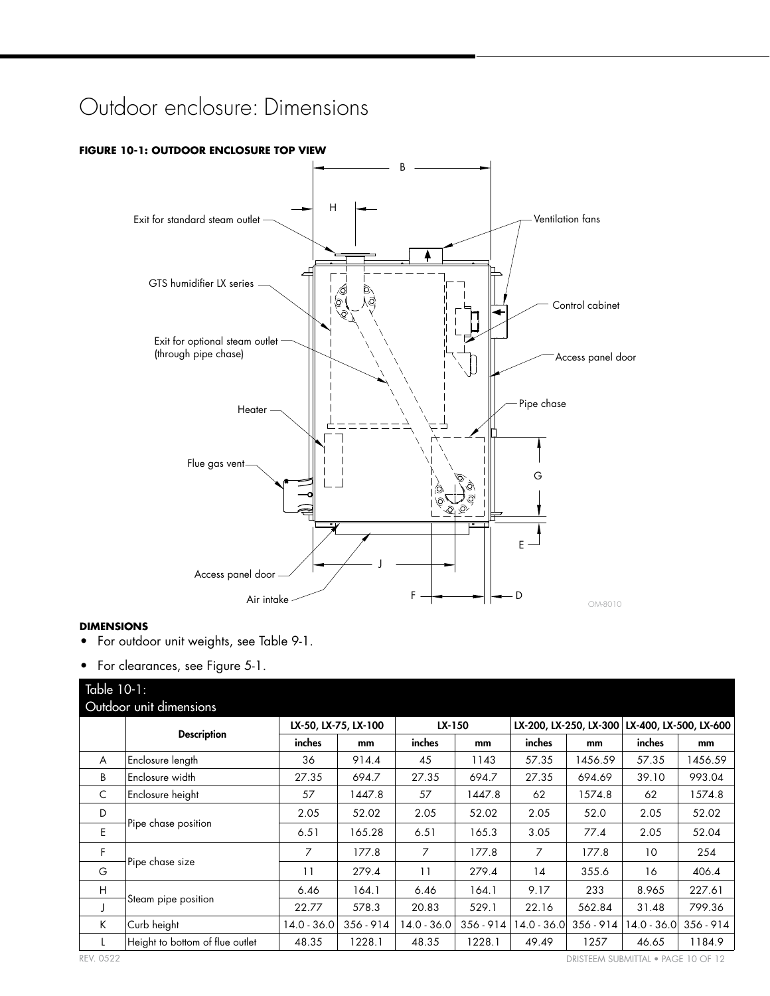## Outdoor enclosure: Dimensions

## H B Control cabinet Pipe chase Exit for standard steam outlet -GTS humidifier LX series Exit for optional steam outlet (through pipe chase) G J F ─<del>│◀───━━</del>│├━─D  $E -$ Access panel door Ventilation fans Heater Flue gas vent OM-8010 Access panel door Air intake

#### <span id="page-9-0"></span>**FIGURE 10-1: OUTDOOR ENCLOSURE TOP VIEW**

#### **DIMENSIONS**

- For outdoor unit weights, see Table [9](#page-8-0)-1.
- For clearances, see Figure [5-](#page-4-0)1.

<span id="page-9-1"></span>

| Table 10-1: |                                 |             |                      |             |             |             |                        |                        |             |  |  |
|-------------|---------------------------------|-------------|----------------------|-------------|-------------|-------------|------------------------|------------------------|-------------|--|--|
|             | Outdoor unit dimensions         |             |                      |             |             |             |                        |                        |             |  |  |
|             |                                 |             | LX-50, LX-75, LX-100 | LX-150      |             |             | LX-200, LX-250, LX-300 | LX-400, LX-500, LX-600 |             |  |  |
|             | <b>Description</b>              | inches      | mm                   | inches      | mm          | inches      | mm                     | inches                 | mm          |  |  |
| A           | Enclosure length                | 36          | 914.4                | 45          | 1143        | 57.35       | 1456.59                | 57.35                  | 1456.59     |  |  |
| B           | Enclosure width                 | 27.35       | 694.7                | 27.35       | 694.7       | 27.35       | 694.69                 | 39.10                  | 993.04      |  |  |
| C           | Enclosure height                | 57          | 1447.8               | 57          | 1447.8      | 62          | 1574.8                 | 62                     | 1574.8      |  |  |
| D           |                                 | 2.05        | 52.02                | 2.05        | 52.02       | 2.05        | 52.0                   | 2.05                   | 52.02       |  |  |
| E           | Pipe chase position             | 6.51        | 165.28               | 6.51        | 165.3       | 3.05        | 77.4                   | 2.05                   | 52.04       |  |  |
| F           |                                 | 7           | 177.8                | 7           | 177.8       | 7           | 177.8                  | 10                     | 254         |  |  |
| G           | Pipe chase size                 | 11          | 279.4                | 11          | 279.4       | 14          | 355.6                  | 16                     | 406.4       |  |  |
| H           |                                 | 6.46        | 164.1                | 6.46        | 164.1       | 9.17        | 233                    | 8.965                  | 227.61      |  |  |
| J           | Steam pipe position             | 22.77       | 578.3                | 20.83       | 529.1       | 22.16       | 562.84                 | 31.48                  | 799.36      |  |  |
| K           | Curb height                     | 14.0 - 36.0 | $356 - 914$          | 14.0 - 36.0 | $356 - 914$ | 14.0 - 36.0 | $356 - 914$            | 14.0 - 36.0            | $356 - 914$ |  |  |
| L           | Height to bottom of flue outlet | 48.35       | 1228.1               | 48.35       | 1228.1      | 49.49       | 1257                   | 46.65                  | 1184.9      |  |  |

REV. 0522 DRISTEEM SUBMITTAL ● PAGE 10 OF 12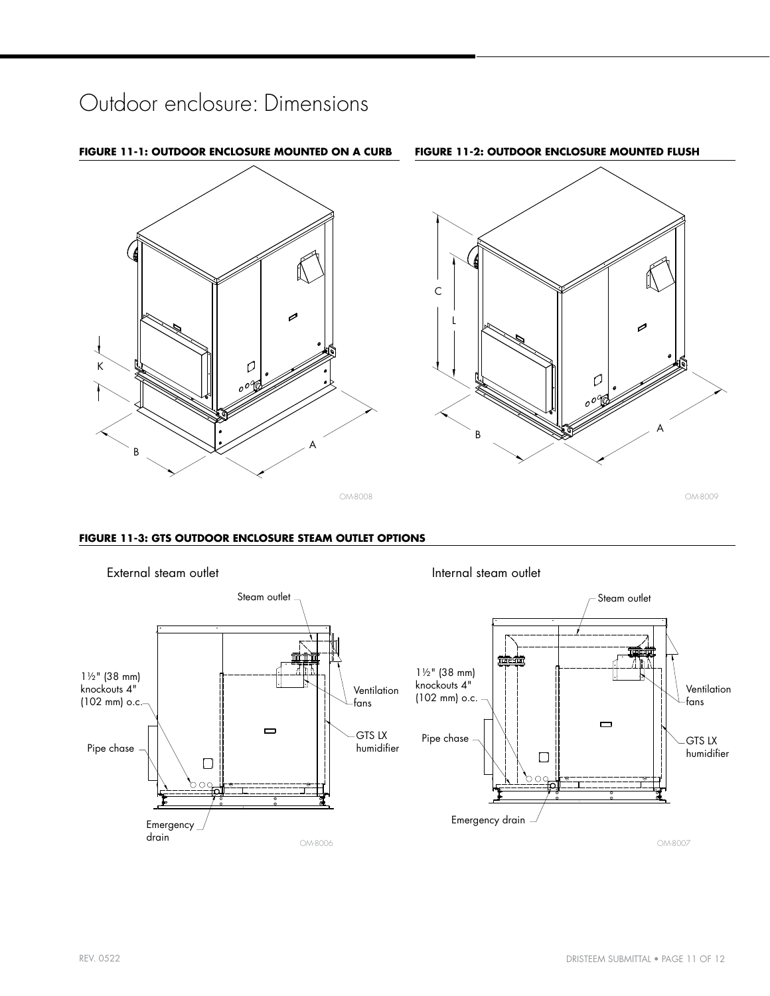## Outdoor enclosure: Dimensions



#### **FIGURE 11-3: GTS OUTDOOR ENCLOSURE STEAM OUTLET OPTIONS**